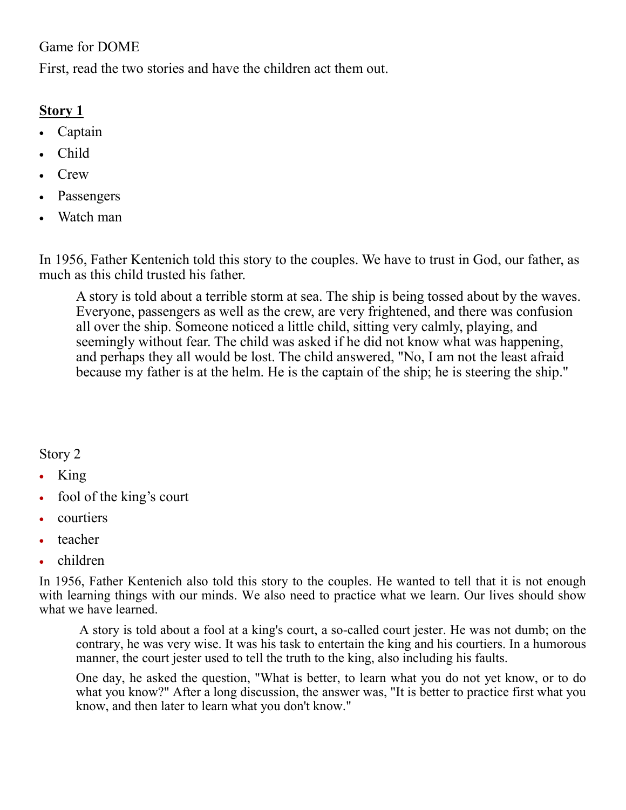## Game for DOME

First, read the two stories and have the children act them out.

## Story 1

- · Captain
- · Child
- · Crew
- **Passengers**
- · Watch man

In 1956, Father Kentenich told this story to the couples. We have to trust in God, our father, as much as this child trusted his father.

A story is told about a terrible storm at sea. The ship is being tossed about by the waves. Everyone, passengers as well as the crew, are very frightened, and there was confusion all over the ship. Someone noticed a little child, sitting very calmly, playing, and seemingly without fear. The child was asked if he did not know what was happening, and perhaps they all would be lost. The child answered, "No, I am not the least afraid because my father is at the helm. He is the captain of the ship; he is steering the ship."

## Story 2

- · King
- fool of the king's court
- · courtiers
- teacher
- · children

In 1956, Father Kentenich also told this story to the couples. He wanted to tell that it is not enough with learning things with our minds. We also need to practice what we learn. Our lives should show what we have learned.

A story is told about a fool at a king's court, a so-called court jester. He was not dumb; on the contrary, he was very wise. It was his task to entertain the king and his courtiers. In a humorous manner, the court jester used to tell the truth to the king, also including his faults.

One day, he asked the question, "What is better, to learn what you do not yet know, or to do what you know?" After a long discussion, the answer was, "It is better to practice first what you know, and then later to learn what you don't know."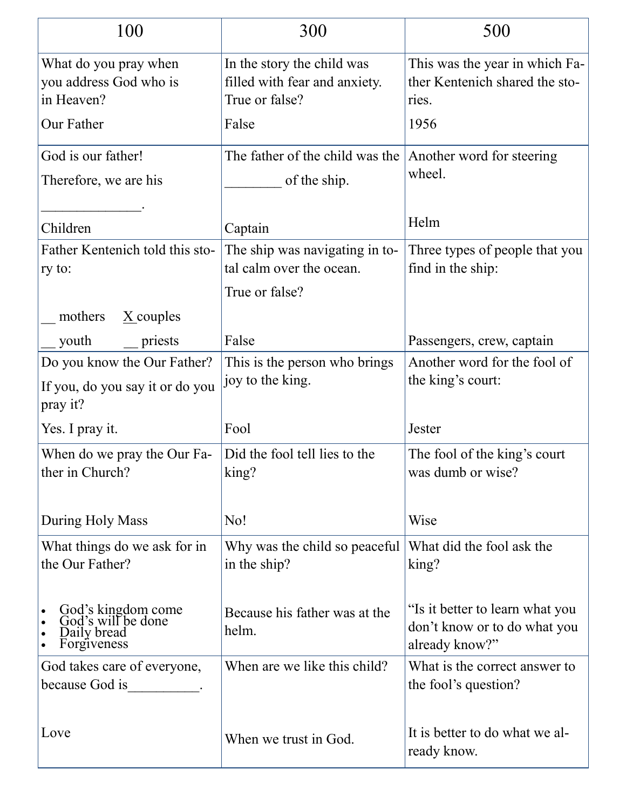| 100                                                                        | 300                                                                           | 500                                                                               |
|----------------------------------------------------------------------------|-------------------------------------------------------------------------------|-----------------------------------------------------------------------------------|
| What do you pray when<br>you address God who is<br>in Heaven?              | In the story the child was<br>filled with fear and anxiety.<br>True or false? | This was the year in which Fa-<br>ther Kentenich shared the sto-<br>ries.         |
| Our Father                                                                 | False                                                                         | 1956                                                                              |
| God is our father!<br>Therefore, we are his                                | The father of the child was the $ $<br>of the ship.                           | Another word for steering<br>wheel.                                               |
| Children                                                                   | Captain                                                                       | Helm                                                                              |
| Father Kentenich told this sto-<br>ry to:                                  | The ship was navigating in to-<br>tal calm over the ocean.<br>True or false?  | Three types of people that you<br>find in the ship:                               |
| mothers<br>$\underline{X}$ couples                                         |                                                                               |                                                                                   |
| youth<br>priests                                                           | False                                                                         | Passengers, crew, captain                                                         |
| Do you know the Our Father?<br>If you, do you say it or do you<br>pray it? | This is the person who brings<br>joy to the king.                             | Another word for the fool of<br>the king's court:                                 |
| Yes. I pray it.                                                            | Fool                                                                          | Jester                                                                            |
| When do we pray the Our Fa-<br>ther in Church?                             | Did the fool tell lies to the<br>king?                                        | The fool of the king's court<br>was dumb or wise?                                 |
| During Holy Mass                                                           | No!                                                                           | Wise                                                                              |
| What things do we ask for in<br>the Our Father?                            | Why was the child so peaceful<br>in the ship?                                 | What did the fool ask the<br>king?                                                |
| God's kingdom come<br>God's will be done<br>Daily bread<br>Forgiveness     | Because his father was at the<br>helm.                                        | "Is it better to learn what you<br>don't know or to do what you<br>already know?" |
| God takes care of everyone,<br>because God is                              | When are we like this child?                                                  | What is the correct answer to<br>the fool's question?                             |
| Love                                                                       | When we trust in God.                                                         | It is better to do what we al-<br>ready know.                                     |